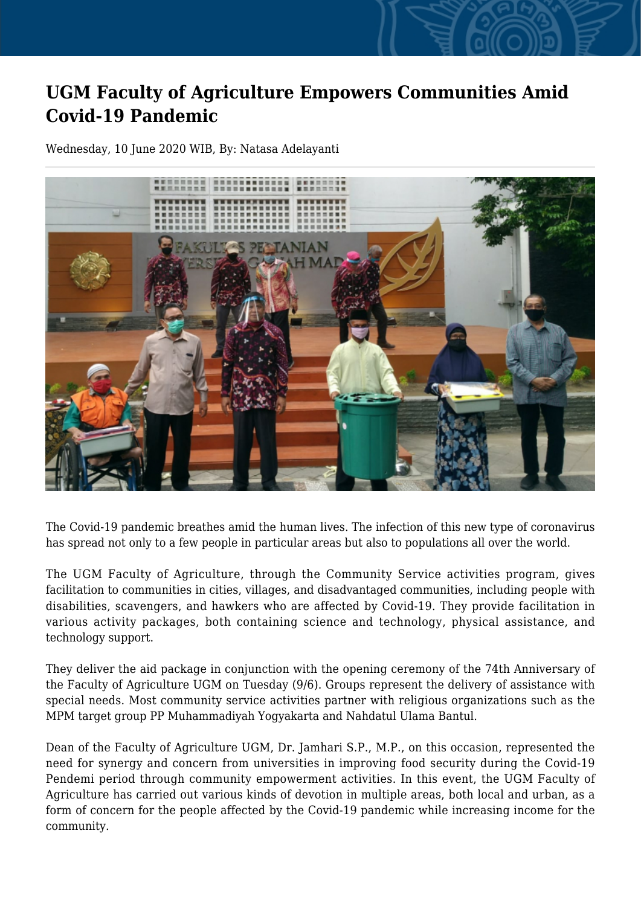## **UGM Faculty of Agriculture Empowers Communities Amid Covid-19 Pandemic**

Wednesday, 10 June 2020 WIB, By: Natasa Adelayanti



The Covid-19 pandemic breathes amid the human lives. The infection of this new type of coronavirus has spread not only to a few people in particular areas but also to populations all over the world.

The UGM Faculty of Agriculture, through the Community Service activities program, gives facilitation to communities in cities, villages, and disadvantaged communities, including people with disabilities, scavengers, and hawkers who are affected by Covid-19. They provide facilitation in various activity packages, both containing science and technology, physical assistance, and technology support.

They deliver the aid package in conjunction with the opening ceremony of the 74th Anniversary of the Faculty of Agriculture UGM on Tuesday (9/6). Groups represent the delivery of assistance with special needs. Most community service activities partner with religious organizations such as the MPM target group PP Muhammadiyah Yogyakarta and Nahdatul Ulama Bantul.

Dean of the Faculty of Agriculture UGM, Dr. Jamhari S.P., M.P., on this occasion, represented the need for synergy and concern from universities in improving food security during the Covid-19 Pendemi period through community empowerment activities. In this event, the UGM Faculty of Agriculture has carried out various kinds of devotion in multiple areas, both local and urban, as a form of concern for the people affected by the Covid-19 pandemic while increasing income for the community.